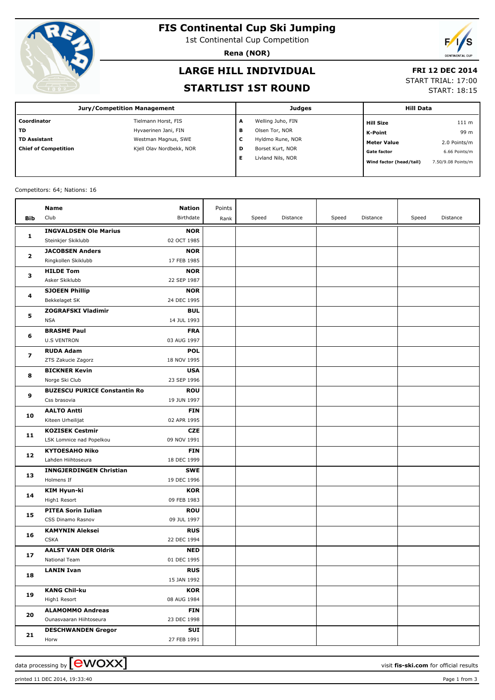

# **FIS Continental Cup Ski Jumping**

1st Continental Cup Competition

**Rena (NOR)**

# **LARGE HILL INDIVIDUAL**

#### **FRI 12 DEC 2014**

#### **STARTLIST 1ST ROUND**

START TRIAL: 17:00

START: 18:15

| <b>Jury/Competition Management</b> |                          |   | <b>Judges</b>     |                         | <b>Hill Data</b>   |  |  |
|------------------------------------|--------------------------|---|-------------------|-------------------------|--------------------|--|--|
| l Coordinator                      | Tielmann Horst, FIS      | A | Welling Juho, FIN | <b>Hill Size</b>        | 111 m              |  |  |
| l TD                               | Hyvaerinen Jani, FIN     | в | Olsen Tor, NOR    | K-Point                 | 99 m               |  |  |
| l TD Assistant                     | Westman Magnus, SWE      | с | Hyldmo Rune, NOR  | <b>Meter Value</b>      | 2.0 Points/m       |  |  |
| Chief of Competition               | Kjell Olav Nordbekk, NOR | D | Borset Kurt, NOR  | <b>Gate factor</b>      | 6.66 Points/m      |  |  |
|                                    |                          | Е | Livland Nils, NOR | Wind factor (head/tail) | 7.50/9.08 Points/m |  |  |

#### Competitors: 64; Nations: 16

|                         | Name                                               | <b>Nation</b>             | Points |       |          |       |          |       |          |
|-------------------------|----------------------------------------------------|---------------------------|--------|-------|----------|-------|----------|-------|----------|
| Bib                     | Club                                               | Birthdate                 | Rank   | Speed | Distance | Speed | Distance | Speed | Distance |
|                         | <b>INGVALDSEN Ole Marius</b>                       | <b>NOR</b>                |        |       |          |       |          |       |          |
| 1                       | Steinkjer Skiklubb                                 | 02 OCT 1985               |        |       |          |       |          |       |          |
|                         | <b>JACOBSEN Anders</b>                             | <b>NOR</b>                |        |       |          |       |          |       |          |
| $\mathbf{2}$<br>з<br>4  | Ringkollen Skiklubb                                | 17 FEB 1985               |        |       |          |       |          |       |          |
|                         | <b>HILDE Tom</b>                                   | <b>NOR</b>                |        |       |          |       |          |       |          |
|                         | Asker Skiklubb                                     | 22 SEP 1987               |        |       |          |       |          |       |          |
|                         | <b>SJOEEN Phillip</b>                              | <b>NOR</b>                |        |       |          |       |          |       |          |
|                         | Bekkelaget SK                                      | 24 DEC 1995               |        |       |          |       |          |       |          |
|                         | <b>ZOGRAFSKI Vladimir</b>                          | <b>BUL</b>                |        |       |          |       |          |       |          |
| 5                       | <b>NSA</b>                                         | 14 JUL 1993               |        |       |          |       |          |       |          |
|                         | <b>BRASME Paul</b>                                 | <b>FRA</b>                |        |       |          |       |          |       |          |
| 6                       | <b>U.S VENTRON</b>                                 | 03 AUG 1997               |        |       |          |       |          |       |          |
|                         | <b>RUDA Adam</b>                                   | <b>POL</b>                |        |       |          |       |          |       |          |
| $\overline{\mathbf{z}}$ | ZTS Zakucie Zagorz                                 | 18 NOV 1995               |        |       |          |       |          |       |          |
|                         | <b>BICKNER Kevin</b>                               | <b>USA</b>                |        |       |          |       |          |       |          |
| 8                       | Norge Ski Club                                     | 23 SEP 1996               |        |       |          |       |          |       |          |
| 9                       | <b>BUZESCU PURICE Constantin Ro</b>                | <b>ROU</b>                |        |       |          |       |          |       |          |
|                         | Css brasovia                                       | 19 JUN 1997               |        |       |          |       |          |       |          |
| 10                      | <b>AALTO Antti</b>                                 | <b>FIN</b>                |        |       |          |       |          |       |          |
|                         | Kiteen Urheilijat                                  | 02 APR 1995               |        |       |          |       |          |       |          |
| 11                      | <b>KOZISEK Cestmir</b>                             | <b>CZE</b>                |        |       |          |       |          |       |          |
|                         | LSK Lomnice nad Popelkou                           | 09 NOV 1991               |        |       |          |       |          |       |          |
| 12                      | <b>KYTOESAHO Niko</b>                              | <b>FIN</b>                |        |       |          |       |          |       |          |
|                         | Lahden Hiihtoseura                                 | 18 DEC 1999               |        |       |          |       |          |       |          |
| 13                      | <b>INNGJERDINGEN Christian</b>                     | <b>SWE</b>                |        |       |          |       |          |       |          |
|                         | Holmens If                                         | 19 DEC 1996               |        |       |          |       |          |       |          |
| 14                      | <b>KIM Hyun-ki</b>                                 | <b>KOR</b>                |        |       |          |       |          |       |          |
|                         | High1 Resort                                       | 09 FEB 1983               |        |       |          |       |          |       |          |
| 15                      | <b>PITEA Sorin Iulian</b>                          | <b>ROU</b>                |        |       |          |       |          |       |          |
|                         | CSS Dinamo Rasnov                                  | 09 JUL 1997               |        |       |          |       |          |       |          |
| 16                      | <b>KAMYNIN Aleksei</b>                             | <b>RUS</b>                |        |       |          |       |          |       |          |
|                         | <b>CSKA</b>                                        | 22 DEC 1994               |        |       |          |       |          |       |          |
| 17                      | <b>AALST VAN DER Oldrik</b>                        | <b>NED</b>                |        |       |          |       |          |       |          |
|                         | National Team                                      | 01 DEC 1995               |        |       |          |       |          |       |          |
| 18                      | <b>LANIN Ivan</b>                                  | <b>RUS</b>                |        |       |          |       |          |       |          |
|                         |                                                    | 15 JAN 1992               |        |       |          |       |          |       |          |
| 19                      | <b>KANG Chil-ku</b><br>High1 Resort                | <b>KOR</b><br>08 AUG 1984 |        |       |          |       |          |       |          |
|                         |                                                    |                           |        |       |          |       |          |       |          |
| 20                      | <b>ALAMOMMO Andreas</b><br>Ounasvaaran Hiihtoseura | <b>FIN</b><br>23 DEC 1998 |        |       |          |       |          |       |          |
|                         |                                                    | SUI                       |        |       |          |       |          |       |          |
| $21$                    | <b>DESCHWANDEN Gregor</b><br>Horw                  | 27 FEB 1991               |        |       |          |       |          |       |          |
|                         |                                                    |                           |        |       |          |       |          |       |          |

printed 11 DEC 2014, 19:33:40 Page 1 from 3

data processing by  $\boxed{\text{ewOX}}$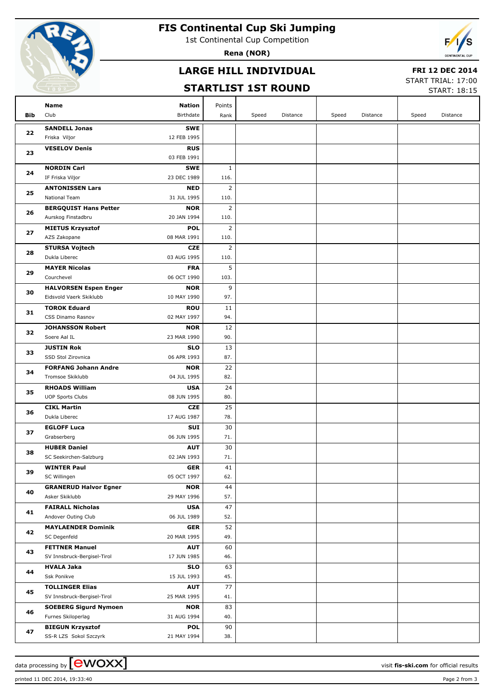

# **FIS Continental Cup Ski Jumping**

1st Continental Cup Competition

**Rena (NOR)**

# **LARGE HILL INDIVIDUAL**

### **FRI 12 DEC 2014**

# **STARTLIST 1ST ROUND**

START TRIAL: 17:00  $STAPT. 18.15$ 

|     |                                                               |                |       |          |       |          |       | <b>SIARI: 19:15</b> |
|-----|---------------------------------------------------------------|----------------|-------|----------|-------|----------|-------|---------------------|
|     | Name<br>Nation                                                | Points         |       |          |       |          |       |                     |
| Bib | Club<br>Birthdate                                             | Rank           | Speed | Distance | Speed | Distance | Speed | Distance            |
|     | <b>SANDELL Jonas</b><br><b>SWE</b>                            |                |       |          |       |          |       |                     |
| 22  | Friska Viljor<br>12 FEB 1995                                  |                |       |          |       |          |       |                     |
| 23  | <b>RUS</b><br><b>VESELOV Denis</b>                            |                |       |          |       |          |       |                     |
|     | 03 FEB 1991                                                   |                |       |          |       |          |       |                     |
|     | <b>NORDIN Carl</b><br><b>SWE</b>                              | $\mathbf{1}$   |       |          |       |          |       |                     |
| 24  | IF Friska Viljor<br>23 DEC 1989                               | 116.           |       |          |       |          |       |                     |
| 25  | <b>ANTONISSEN Lars</b><br><b>NED</b>                          | $\overline{2}$ |       |          |       |          |       |                     |
|     | National Team<br>31 JUL 1995                                  | 110.           |       |          |       |          |       |                     |
| 26  | <b>BERGQUIST Hans Petter</b><br><b>NOR</b>                    | $\overline{2}$ |       |          |       |          |       |                     |
|     | Aurskog Finstadbru<br>20 JAN 1994                             | 110.           |       |          |       |          |       |                     |
| 27  | <b>POL</b><br><b>MIETUS Krzysztof</b>                         | $\overline{2}$ |       |          |       |          |       |                     |
|     | AZS Zakopane<br>08 MAR 1991                                   | 110.           |       |          |       |          |       |                     |
| 28  | <b>STURSA Vojtech</b><br><b>CZE</b>                           | $\overline{2}$ |       |          |       |          |       |                     |
|     | Dukla Liberec<br>03 AUG 1995<br><b>MAYER Nicolas</b>          | 110.<br>5      |       |          |       |          |       |                     |
| 29  | <b>FRA</b><br>Courchevel<br>06 OCT 1990                       | 103.           |       |          |       |          |       |                     |
|     | <b>HALVORSEN Espen Enger</b><br><b>NOR</b>                    | 9              |       |          |       |          |       |                     |
| 30  | Eidsvold Vaerk Skiklubb<br>10 MAY 1990                        | 97.            |       |          |       |          |       |                     |
|     | <b>TOROK Eduard</b><br><b>ROU</b>                             | 11             |       |          |       |          |       |                     |
| 31  | CSS Dinamo Rasnov<br>02 MAY 1997                              | 94.            |       |          |       |          |       |                     |
|     | <b>JOHANSSON Robert</b><br><b>NOR</b>                         | 12             |       |          |       |          |       |                     |
| 32  | 23 MAR 1990<br>Soere Aal IL                                   | 90.            |       |          |       |          |       |                     |
|     | <b>JUSTIN Rok</b><br><b>SLO</b>                               | 13             |       |          |       |          |       |                     |
| 33  | 06 APR 1993<br>SSD Stol Zirovnica                             | 87.            |       |          |       |          |       |                     |
| 34  | <b>FORFANG Johann Andre</b><br><b>NOR</b>                     | 22             |       |          |       |          |       |                     |
|     | Tromsoe Skiklubb<br>04 JUL 1995                               | 82.            |       |          |       |          |       |                     |
| 35  | <b>RHOADS William</b><br><b>USA</b>                           | 24             |       |          |       |          |       |                     |
|     | 08 JUN 1995<br><b>UOP Sports Clubs</b>                        | 80.            |       |          |       |          |       |                     |
| 36  | <b>CIKL Martin</b><br><b>CZE</b>                              | 25             |       |          |       |          |       |                     |
|     | Dukla Liberec<br>17 AUG 1987                                  | 78.            |       |          |       |          |       |                     |
| 37  | <b>EGLOFF Luca</b><br>SUI<br>Grabserberg<br>06 JUN 1995       | 30<br>71.      |       |          |       |          |       |                     |
|     | <b>HUBER Daniel</b><br><b>AUT</b>                             | 30             |       |          |       |          |       |                     |
| 38  | SC Seekirchen-Salzburg<br>02 JAN 1993                         | 71.            |       |          |       |          |       |                     |
|     | <b>WINTER Paul</b><br>GER                                     | 41             |       |          |       |          |       |                     |
| 39  | SC Willingen<br>05 OCT 1997                                   | 62.            |       |          |       |          |       |                     |
|     | <b>GRANERUD Halvor Egner</b><br><b>NOR</b>                    | 44             |       |          |       |          |       |                     |
| 40  | Asker Skiklubb<br>29 MAY 1996                                 | 57.            |       |          |       |          |       |                     |
| 41  | <b>FAIRALL Nicholas</b><br><b>USA</b>                         | 47             |       |          |       |          |       |                     |
|     | Andover Outing Club<br>06 JUL 1989                            | 52.            |       |          |       |          |       |                     |
| 42  | <b>MAYLAENDER Dominik</b><br>GER                              | 52             |       |          |       |          |       |                     |
|     | SC Degenfeld<br>20 MAR 1995                                   | 49.            |       |          |       |          |       |                     |
| 43  | <b>FETTNER Manuel</b><br><b>AUT</b>                           | 60             |       |          |       |          |       |                     |
|     | SV Innsbruck-Bergisel-Tirol<br>17 JUN 1985                    | 46.            |       |          |       |          |       |                     |
| 44  | <b>HVALA Jaka</b><br><b>SLO</b><br>Ssk Ponikve<br>15 JUL 1993 | 63<br>45.      |       |          |       |          |       |                     |
| 45  | <b>TOLLINGER Elias</b>                                        | 77             |       |          |       |          |       |                     |
|     | <b>AUT</b><br>SV Innsbruck-Bergisel-Tirol<br>25 MAR 1995      | 41.            |       |          |       |          |       |                     |
|     | <b>SOEBERG Sigurd Nymoen</b><br><b>NOR</b>                    | 83             |       |          |       |          |       |                     |
| 46  | Furnes Skiloperlag<br>31 AUG 1994                             | 40.            |       |          |       |          |       |                     |
|     | <b>BIEGUN Krzysztof</b><br><b>POL</b>                         | 90             |       |          |       |          |       |                     |
| 47  | SS-R LZS Sokol Szczyrk<br>21 MAY 1994                         | 38.            |       |          |       |          |       |                     |
|     |                                                               |                |       |          |       |          |       |                     |

printed 11 DEC 2014, 19:33:40 Page 2 from 3

data processing by **CWOXX**  $\blacksquare$